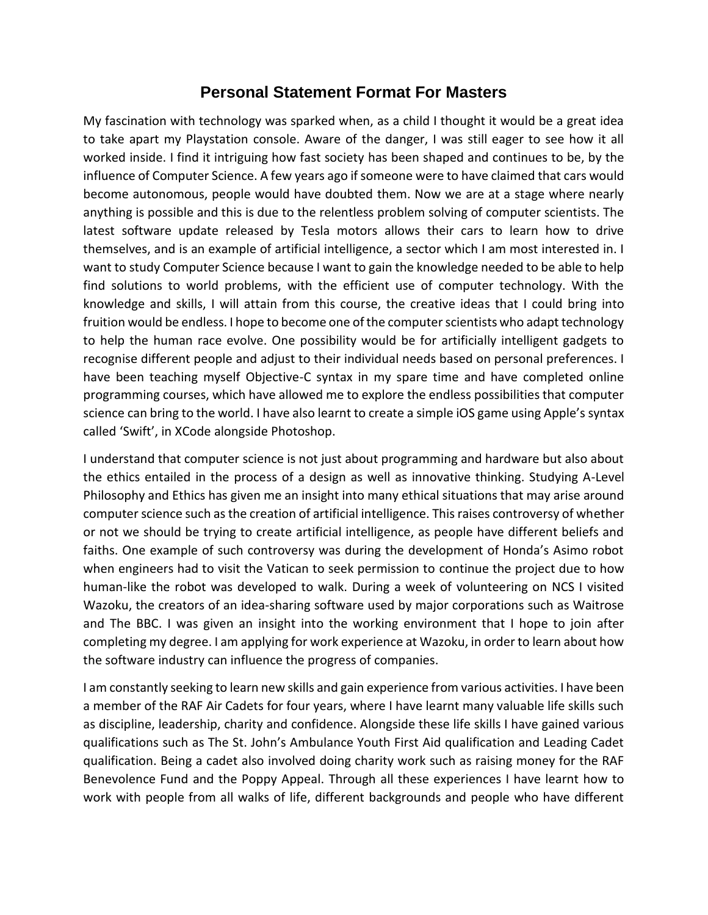## **Personal Statement Format For Masters**

My fascination with technology was sparked when, as a child I thought it would be a great idea to take apart my Playstation console. Aware of the danger, I was still eager to see how it all worked inside. I find it intriguing how fast society has been shaped and continues to be, by the influence of Computer Science. A few years ago if someone were to have claimed that cars would become autonomous, people would have doubted them. Now we are at a stage where nearly anything is possible and this is due to the relentless problem solving of computer scientists. The latest software update released by Tesla motors allows their cars to learn how to drive themselves, and is an example of artificial intelligence, a sector which I am most interested in. I want to study Computer Science because I want to gain the knowledge needed to be able to help find solutions to world problems, with the efficient use of computer technology. With the knowledge and skills, I will attain from this course, the creative ideas that I could bring into fruition would be endless. I hope to become one of the computer scientists who adapt technology to help the human race evolve. One possibility would be for artificially intelligent gadgets to recognise different people and adjust to their individual needs based on personal preferences. I have been teaching myself Objective-C syntax in my spare time and have completed online programming courses, which have allowed me to explore the endless possibilities that computer science can bring to the world. I have also learnt to create a simple iOS game using Apple's syntax called 'Swift', in XCode alongside Photoshop.

I understand that computer science is not just about programming and hardware but also about the ethics entailed in the process of a design as well as innovative thinking. Studying A-Level Philosophy and Ethics has given me an insight into many ethical situations that may arise around computer science such as the creation of artificial intelligence. This raises controversy of whether or not we should be trying to create artificial intelligence, as people have different beliefs and faiths. One example of such controversy was during the development of Honda's Asimo robot when engineers had to visit the Vatican to seek permission to continue the project due to how human-like the robot was developed to walk. During a week of volunteering on NCS I visited Wazoku, the creators of an idea-sharing software used by major corporations such as Waitrose and The BBC. I was given an insight into the working environment that I hope to join after completing my degree. I am applying for work experience at Wazoku, in order to learn about how the software industry can influence the progress of companies.

I am constantly seeking to learn new skills and gain experience from various activities. I have been a member of the RAF Air Cadets for four years, where I have learnt many valuable life skills such as discipline, leadership, charity and confidence. Alongside these life skills I have gained various qualifications such as The St. John's Ambulance Youth First Aid qualification and Leading Cadet qualification. Being a cadet also involved doing charity work such as raising money for the RAF Benevolence Fund and the Poppy Appeal. Through all these experiences I have learnt how to work with people from all walks of life, different backgrounds and people who have different